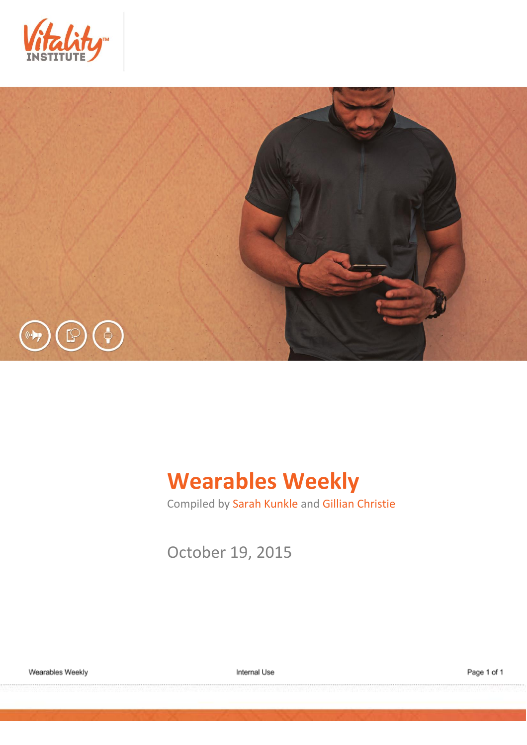



# **Wearables Weekly**

Compiled by Sarah Kunkle and Gillian Christie

October 19, 2015

Internal Use

Page 1 of 1